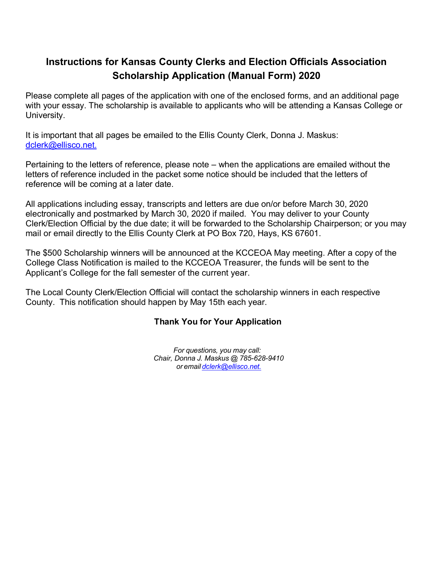# **Instructions for Kansas County Clerks and Election Officials Association Scholarship Application (Manual Form) 2020**

Please complete all pages of the application with one of the enclosed forms, and an additional page with your essay. The scholarship is available to applicants who will be attending a Kansas College or University.

It is important that all pages be emailed to the Ellis County Clerk, Donna J. Maskus: dclerk@ellisco.net.

Pertaining to the letters of reference, please note – when the applications are emailed without the letters of reference included in the packet some notice should be included that the letters of reference will be coming at a later date.

All applications including essay, transcripts and letters are due on/or before March 30, 2020 electronically and postmarked by March 30, 2020 if mailed. You may deliver to your County Clerk/Election Official by the due date; it will be forwarded to the Scholarship Chairperson; or you may mail or email directly to the Ellis County Clerk at PO Box 720, Hays, KS 67601.

The \$500 Scholarship winners will be announced at the KCCEOA May meeting. After a copy of the College Class Notification is mailed to the KCCEOA Treasurer, the funds will be sent to the Applicant's College for the fall semester of the current year.

The Local County Clerk/Election Official will contact the scholarship winners in each respective County. This notification should happen by May 15th each year.

#### **Thank You for Your Application**

*For questions, you may call: Chair, Donna J. Maskus @ 785-628-9410 or email [dclerk@ellisco.net.](mailto:dclerk@ellisco.net.)*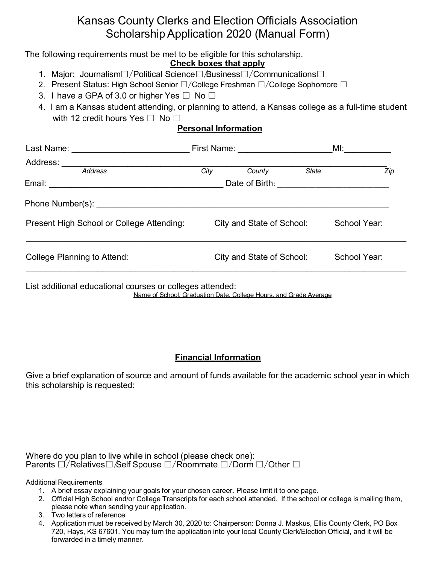# Kansas County Clerks and Election Officials Association Scholarship Application 2020 (Manual Form)

The following requirements must be met to be eligible for this scholarship.

#### **Check boxes that apply**

- 1. Major: Journalism☐/Political Science☐/Business☐/Communications☐
- 2. Present Status: High School Senior □/College Freshman □/College Sophomore □
- 3. I have a GPA of 3.0 or higher Yes  $\Box$  No  $\Box$
- 4. I am a Kansas student attending, or planning to attend, a Kansas college as a full-time student with 12 credit hours Yes  $\Box$  No  $\Box$

### **Personal Information**

| Last Name: <u>____________________</u>    | First Name: <u>______________</u>                 |                           | MI:          |              |     |
|-------------------------------------------|---------------------------------------------------|---------------------------|--------------|--------------|-----|
| Address:<br><b>Address</b>                | City                                              | County                    | <b>State</b> |              | Zip |
| Email:                                    | Date of Birth: <u>___________________________</u> |                           |              |              |     |
|                                           |                                                   |                           |              |              |     |
| Present High School or College Attending: |                                                   | City and State of School: |              | School Year: |     |
| <b>College Planning to Attend:</b>        |                                                   | City and State of School: |              | School Year: |     |
|                                           |                                                   |                           |              |              |     |

List additional educational courses or colleges attended: Name of School, Graduation Date, College Hours, and Grade Average

# **Financial Information**

Give a brief explanation of source and amount of funds available for the academic school year in which this scholarship is requested:

Where do you plan to live while in school (please check one): Parents  $□/Relatives□/Self Spouse □/Roommate □/Dom □/Other □$ 

Additional Requirements

- 1. A brief essay explaining your goals for your chosen career. Please limit it to one page.
- 2. Official High School and/or College Transcripts for each school attended. If the school or college is mailing them, please note when sending your application.
- 3. Two letters of reference.
- 4. Application must be received by March 30, 2020 to: Chairperson: Donna J. Maskus, Ellis County Clerk, PO Box 720, Hays, KS 67601. You may turn the application into your local County Clerk/Election Official, and it will be forwarded in a timely manner.